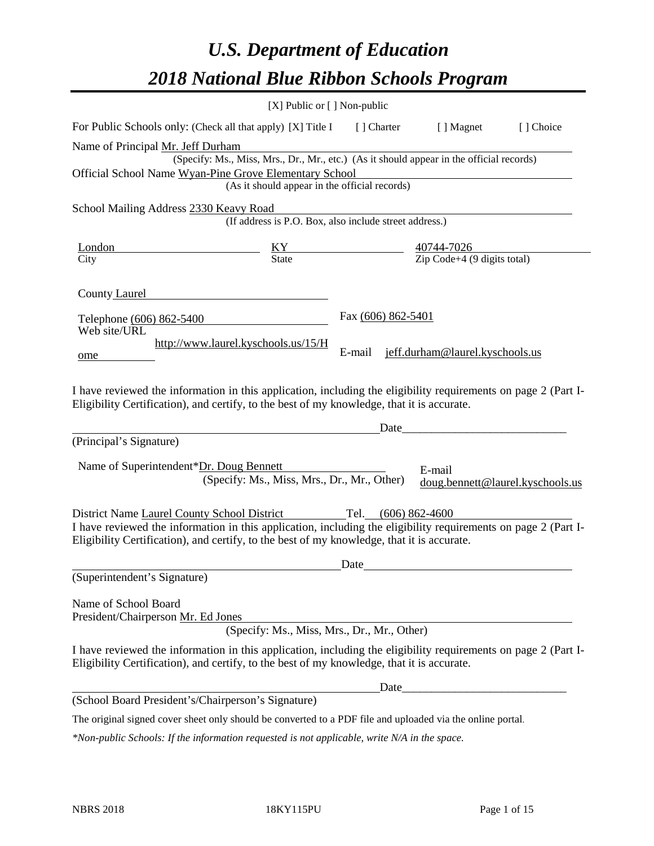# *U.S. Department of Education 2018 National Blue Ribbon Schools Program*

|                                                                                                                                                                                                                                         | [X] Public or [] Non-public                                                              |                     |                                                          |                                  |
|-----------------------------------------------------------------------------------------------------------------------------------------------------------------------------------------------------------------------------------------|------------------------------------------------------------------------------------------|---------------------|----------------------------------------------------------|----------------------------------|
| For Public Schools only: (Check all that apply) [X] Title I [] Charter [] Magnet                                                                                                                                                        |                                                                                          |                     |                                                          | [] Choice                        |
| Name of Principal Mr. Jeff Durham                                                                                                                                                                                                       |                                                                                          |                     |                                                          |                                  |
|                                                                                                                                                                                                                                         | (Specify: Ms., Miss, Mrs., Dr., Mr., etc.) (As it should appear in the official records) |                     |                                                          |                                  |
| Official School Name Wyan-Pine Grove Elementary School                                                                                                                                                                                  |                                                                                          |                     |                                                          |                                  |
|                                                                                                                                                                                                                                         | (As it should appear in the official records)                                            |                     |                                                          |                                  |
| School Mailing Address 2330 Keavy Road                                                                                                                                                                                                  | eavy Road<br>(If address is P.O. Box, also include street address.)                      |                     |                                                          |                                  |
|                                                                                                                                                                                                                                         |                                                                                          |                     |                                                          |                                  |
| <u>London</u>                                                                                                                                                                                                                           | $\frac{KY}{State}$ $\frac{40744-7026}{Zip Code+4 (9 digits total)}$                      |                     |                                                          |                                  |
| City                                                                                                                                                                                                                                    |                                                                                          |                     |                                                          |                                  |
| County Laurel<br>Telephone (606) 862-5400                                                                                                                                                                                               |                                                                                          | Fax (606) 862-5401  |                                                          |                                  |
| Web site/URL<br>ome                                                                                                                                                                                                                     | http://www.laurel.kyschools.us/15/H                                                      | E-mail              | jeff.durham@laurel.kyschools.us                          |                                  |
| I have reviewed the information in this application, including the eligibility requirements on page 2 (Part I-<br>Eligibility Certification), and certify, to the best of my knowledge, that it is accurate.<br>(Principal's Signature) |                                                                                          | Date                | <u> 1989 - Johann John Stone, mars eta biztanleria (</u> |                                  |
|                                                                                                                                                                                                                                         |                                                                                          |                     |                                                          |                                  |
| Name of Superintendent*Dr. Doug Bennett                                                                                                                                                                                                 | (Specify: Ms., Miss, Mrs., Dr., Mr., Other)                                              |                     | E-mail                                                   | doug.bennett@laurel.kyschools.us |
| District Name Laurel County School District<br>I have reviewed the information in this application, including the eligibility requirements on page 2 (Part I-                                                                           |                                                                                          | Tel. (606) 862-4600 |                                                          |                                  |
| Eligibility Certification), and certify, to the best of my knowledge, that it is accurate.                                                                                                                                              |                                                                                          |                     |                                                          |                                  |
|                                                                                                                                                                                                                                         |                                                                                          | Date                |                                                          |                                  |
| (Superintendent's Signature)                                                                                                                                                                                                            |                                                                                          |                     |                                                          |                                  |
| Name of School Board<br>President/Chairperson Mr. Ed Jones                                                                                                                                                                              | (Specify: Ms., Miss, Mrs., Dr., Mr., Other)                                              |                     |                                                          |                                  |
| I have reviewed the information in this application, including the eligibility requirements on page 2 (Part I-<br>Eligibility Certification), and certify, to the best of my knowledge, that it is accurate.                            |                                                                                          |                     |                                                          |                                  |
|                                                                                                                                                                                                                                         |                                                                                          | Date                |                                                          |                                  |
| (School Board President's/Chairperson's Signature)                                                                                                                                                                                      |                                                                                          |                     |                                                          |                                  |
| The original signed cover sheet only should be converted to a PDF file and uploaded via the online portal.                                                                                                                              |                                                                                          |                     |                                                          |                                  |

*\*Non-public Schools: If the information requested is not applicable, write N/A in the space.*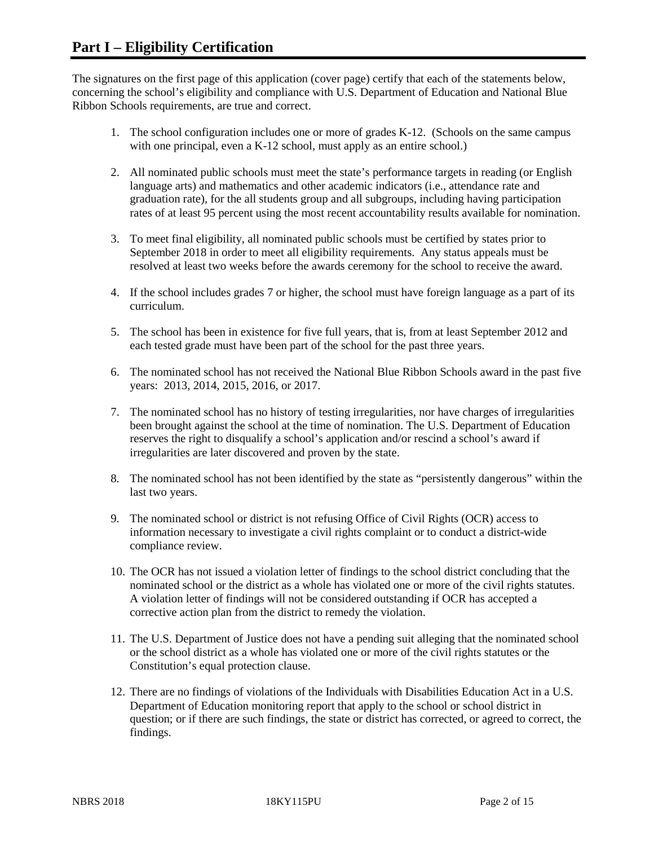The signatures on the first page of this application (cover page) certify that each of the statements below, concerning the school's eligibility and compliance with U.S. Department of Education and National Blue Ribbon Schools requirements, are true and correct.

- 1. The school configuration includes one or more of grades K-12. (Schools on the same campus with one principal, even a K-12 school, must apply as an entire school.)
- 2. All nominated public schools must meet the state's performance targets in reading (or English language arts) and mathematics and other academic indicators (i.e., attendance rate and graduation rate), for the all students group and all subgroups, including having participation rates of at least 95 percent using the most recent accountability results available for nomination.
- 3. To meet final eligibility, all nominated public schools must be certified by states prior to September 2018 in order to meet all eligibility requirements. Any status appeals must be resolved at least two weeks before the awards ceremony for the school to receive the award.
- 4. If the school includes grades 7 or higher, the school must have foreign language as a part of its curriculum.
- 5. The school has been in existence for five full years, that is, from at least September 2012 and each tested grade must have been part of the school for the past three years.
- 6. The nominated school has not received the National Blue Ribbon Schools award in the past five years: 2013, 2014, 2015, 2016, or 2017.
- 7. The nominated school has no history of testing irregularities, nor have charges of irregularities been brought against the school at the time of nomination. The U.S. Department of Education reserves the right to disqualify a school's application and/or rescind a school's award if irregularities are later discovered and proven by the state.
- 8. The nominated school has not been identified by the state as "persistently dangerous" within the last two years.
- 9. The nominated school or district is not refusing Office of Civil Rights (OCR) access to information necessary to investigate a civil rights complaint or to conduct a district-wide compliance review.
- 10. The OCR has not issued a violation letter of findings to the school district concluding that the nominated school or the district as a whole has violated one or more of the civil rights statutes. A violation letter of findings will not be considered outstanding if OCR has accepted a corrective action plan from the district to remedy the violation.
- 11. The U.S. Department of Justice does not have a pending suit alleging that the nominated school or the school district as a whole has violated one or more of the civil rights statutes or the Constitution's equal protection clause.
- 12. There are no findings of violations of the Individuals with Disabilities Education Act in a U.S. Department of Education monitoring report that apply to the school or school district in question; or if there are such findings, the state or district has corrected, or agreed to correct, the findings.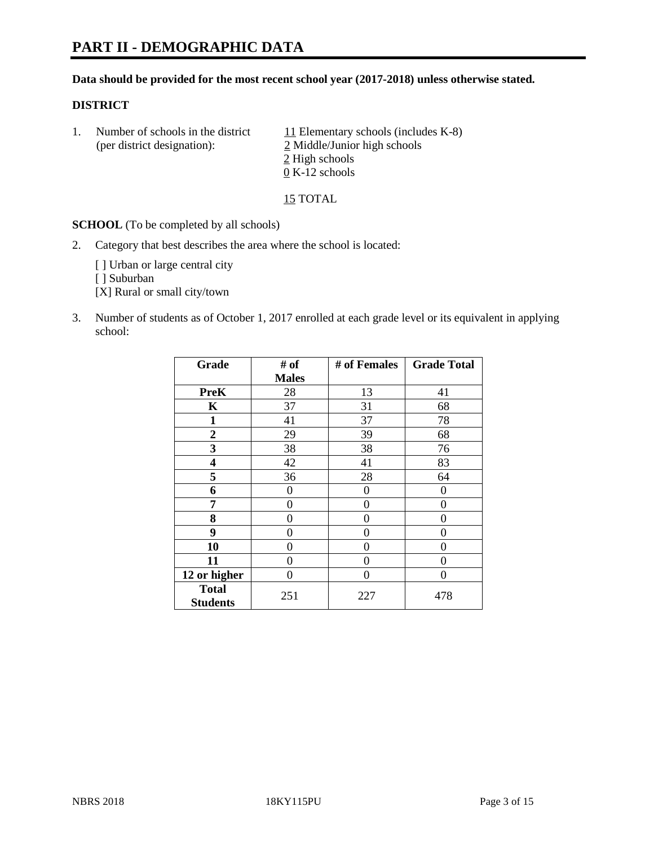# **PART II - DEMOGRAPHIC DATA**

#### **Data should be provided for the most recent school year (2017-2018) unless otherwise stated.**

#### **DISTRICT**

1. Number of schools in the district  $11$  Elementary schools (includes K-8) (per district designation): 2 Middle/Junior high schools 2 High schools 0 K-12 schools

15 TOTAL

**SCHOOL** (To be completed by all schools)

2. Category that best describes the area where the school is located:

[] Urban or large central city

[ ] Suburban

[X] Rural or small city/town

3. Number of students as of October 1, 2017 enrolled at each grade level or its equivalent in applying school:

| Grade                           | # of         | # of Females | <b>Grade Total</b> |
|---------------------------------|--------------|--------------|--------------------|
|                                 | <b>Males</b> |              |                    |
| <b>PreK</b>                     | 28           | 13           | 41                 |
| K                               | 37           | 31           | 68                 |
| $\mathbf{1}$                    | 41           | 37           | 78                 |
| $\overline{2}$                  | 29           | 39           | 68                 |
| 3                               | 38           | 38           | 76                 |
| 4                               | 42           | 41           | 83                 |
| 5                               | 36           | 28           | 64                 |
| 6                               | 0            | 0            | 0                  |
| 7                               | 0            | 0            | 0                  |
| 8                               | 0            | 0            | 0                  |
| 9                               | 0            | 0            | 0                  |
| 10                              | 0            | 0            | 0                  |
| 11                              | 0            | 0            | 0                  |
| 12 or higher                    | 0            | 0            | 0                  |
| <b>Total</b><br><b>Students</b> | 251          | 227          | 478                |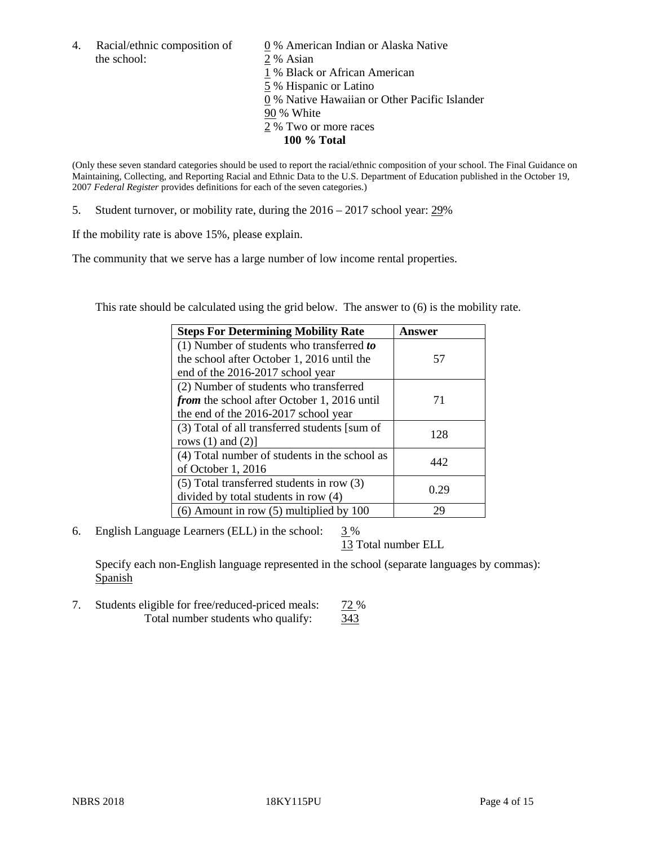4. Racial/ethnic composition of  $\qquad 0\%$  American Indian or Alaska Native the school: 2 % Asian

 % Black or African American % Hispanic or Latino % Native Hawaiian or Other Pacific Islander 90 % White % Two or more races **100 % Total**

(Only these seven standard categories should be used to report the racial/ethnic composition of your school. The Final Guidance on Maintaining, Collecting, and Reporting Racial and Ethnic Data to the U.S. Department of Education published in the October 19, 2007 *Federal Register* provides definitions for each of the seven categories.)

5. Student turnover, or mobility rate, during the 2016 – 2017 school year: 29%

If the mobility rate is above 15%, please explain.

The community that we serve has a large number of low income rental properties.

This rate should be calculated using the grid below. The answer to (6) is the mobility rate.

| <b>Steps For Determining Mobility Rate</b>         | Answer |
|----------------------------------------------------|--------|
| $(1)$ Number of students who transferred to        |        |
| the school after October 1, 2016 until the         | 57     |
| end of the 2016-2017 school year                   |        |
| (2) Number of students who transferred             |        |
| <i>from</i> the school after October 1, 2016 until | 71     |
| the end of the 2016-2017 school year               |        |
| (3) Total of all transferred students [sum of      | 128    |
| rows $(1)$ and $(2)$ ]                             |        |
| (4) Total number of students in the school as      |        |
| of October 1, 2016                                 | 442.   |
| $(5)$ Total transferred students in row $(3)$      |        |
| divided by total students in row (4)               | 0.29   |
| $(6)$ Amount in row $(5)$ multiplied by 100        | 29     |

6. English Language Learners (ELL) in the school:  $3\%$ 

13 Total number ELL

Specify each non-English language represented in the school (separate languages by commas): Spanish

7. Students eligible for free/reduced-priced meals: 72 % Total number students who qualify:  $\frac{343}{343}$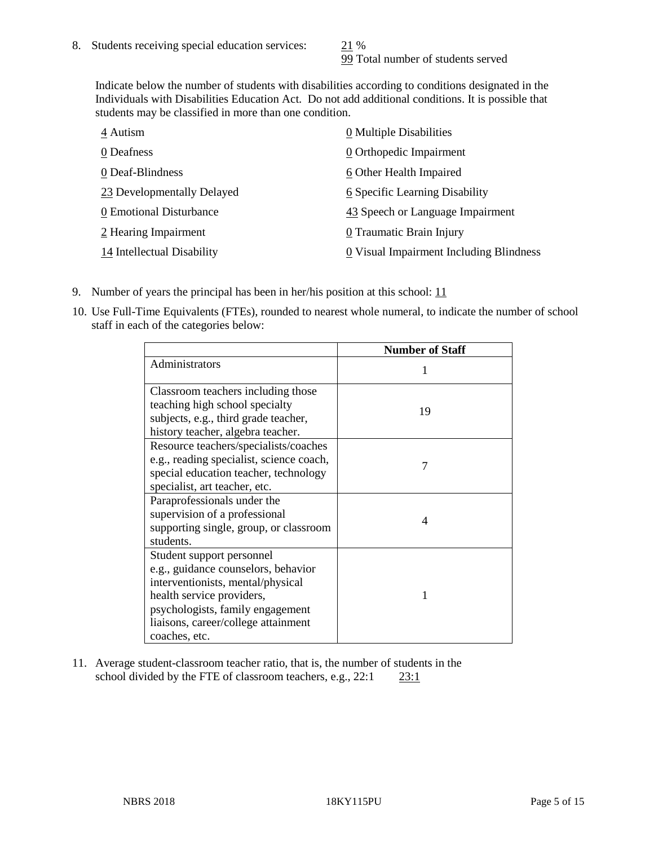99 Total number of students served

Indicate below the number of students with disabilities according to conditions designated in the Individuals with Disabilities Education Act. Do not add additional conditions. It is possible that students may be classified in more than one condition.

| 4 Autism                   | 0 Multiple Disabilities                 |
|----------------------------|-----------------------------------------|
| 0 Deafness                 | 0 Orthopedic Impairment                 |
| 0 Deaf-Blindness           | 6 Other Health Impaired                 |
| 23 Developmentally Delayed | 6 Specific Learning Disability          |
| 0 Emotional Disturbance    | 43 Speech or Language Impairment        |
| 2 Hearing Impairment       | 0 Traumatic Brain Injury                |
| 14 Intellectual Disability | 0 Visual Impairment Including Blindness |

- 9. Number of years the principal has been in her/his position at this school:  $11$
- 10. Use Full-Time Equivalents (FTEs), rounded to nearest whole numeral, to indicate the number of school staff in each of the categories below:

|                                                                                                                                                                                                                                | <b>Number of Staff</b> |
|--------------------------------------------------------------------------------------------------------------------------------------------------------------------------------------------------------------------------------|------------------------|
| Administrators                                                                                                                                                                                                                 |                        |
| Classroom teachers including those<br>teaching high school specialty<br>subjects, e.g., third grade teacher,<br>history teacher, algebra teacher.                                                                              | 19                     |
| Resource teachers/specialists/coaches<br>e.g., reading specialist, science coach,<br>special education teacher, technology<br>specialist, art teacher, etc.                                                                    |                        |
| Paraprofessionals under the<br>supervision of a professional<br>supporting single, group, or classroom<br>students.                                                                                                            | 4                      |
| Student support personnel<br>e.g., guidance counselors, behavior<br>interventionists, mental/physical<br>health service providers,<br>psychologists, family engagement<br>liaisons, career/college attainment<br>coaches, etc. |                        |

11. Average student-classroom teacher ratio, that is, the number of students in the school divided by the FTE of classroom teachers, e.g., 22:1 23:1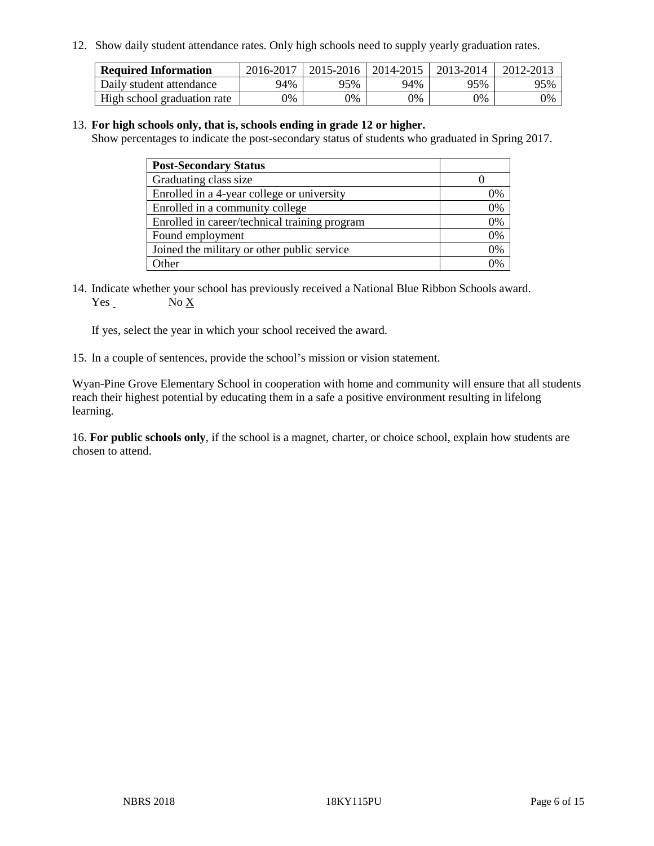12. Show daily student attendance rates. Only high schools need to supply yearly graduation rates.

| <b>Required Information</b> | 2016-2017 | $2015 - 2016$ | 2014-2015 | 2013-2014 | 2012-2013 |
|-----------------------------|-----------|---------------|-----------|-----------|-----------|
| Daily student attendance    | 94%       | 95%           | 94%       | 95%       | 95%       |
| High school graduation rate | 0%        | 0%            | 0%        | 9%        | 0%        |

#### 13. **For high schools only, that is, schools ending in grade 12 or higher.**

Show percentages to indicate the post-secondary status of students who graduated in Spring 2017.

| <b>Post-Secondary Status</b>                  |    |
|-----------------------------------------------|----|
| Graduating class size                         |    |
| Enrolled in a 4-year college or university    | 0% |
| Enrolled in a community college               | 0% |
| Enrolled in career/technical training program | 0% |
| Found employment                              | 0% |
| Joined the military or other public service   | 0% |
| Other                                         | ገ% |

14. Indicate whether your school has previously received a National Blue Ribbon Schools award. Yes No X

If yes, select the year in which your school received the award.

15. In a couple of sentences, provide the school's mission or vision statement.

Wyan-Pine Grove Elementary School in cooperation with home and community will ensure that all students reach their highest potential by educating them in a safe a positive environment resulting in lifelong learning.

16. **For public schools only**, if the school is a magnet, charter, or choice school, explain how students are chosen to attend.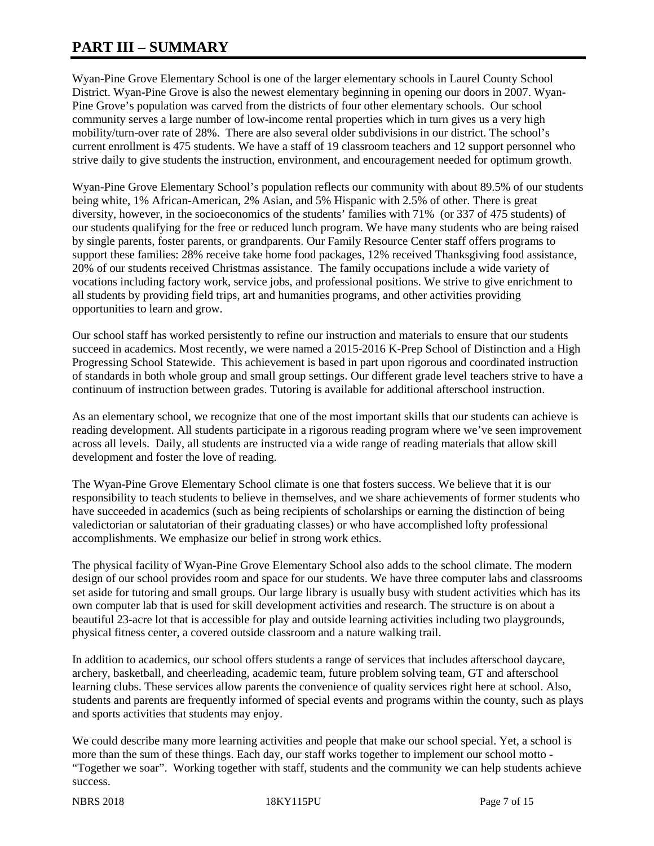# **PART III – SUMMARY**

Wyan-Pine Grove Elementary School is one of the larger elementary schools in Laurel County School District. Wyan-Pine Grove is also the newest elementary beginning in opening our doors in 2007. Wyan-Pine Grove's population was carved from the districts of four other elementary schools. Our school community serves a large number of low-income rental properties which in turn gives us a very high mobility/turn-over rate of 28%. There are also several older subdivisions in our district. The school's current enrollment is 475 students. We have a staff of 19 classroom teachers and 12 support personnel who strive daily to give students the instruction, environment, and encouragement needed for optimum growth.

Wyan-Pine Grove Elementary School's population reflects our community with about 89.5% of our students being white, 1% African-American, 2% Asian, and 5% Hispanic with 2.5% of other. There is great diversity, however, in the socioeconomics of the students' families with 71% (or 337 of 475 students) of our students qualifying for the free or reduced lunch program. We have many students who are being raised by single parents, foster parents, or grandparents. Our Family Resource Center staff offers programs to support these families: 28% receive take home food packages, 12% received Thanksgiving food assistance, 20% of our students received Christmas assistance. The family occupations include a wide variety of vocations including factory work, service jobs, and professional positions. We strive to give enrichment to all students by providing field trips, art and humanities programs, and other activities providing opportunities to learn and grow.

Our school staff has worked persistently to refine our instruction and materials to ensure that our students succeed in academics. Most recently, we were named a 2015-2016 K-Prep School of Distinction and a High Progressing School Statewide. This achievement is based in part upon rigorous and coordinated instruction of standards in both whole group and small group settings. Our different grade level teachers strive to have a continuum of instruction between grades. Tutoring is available for additional afterschool instruction.

As an elementary school, we recognize that one of the most important skills that our students can achieve is reading development. All students participate in a rigorous reading program where we've seen improvement across all levels. Daily, all students are instructed via a wide range of reading materials that allow skill development and foster the love of reading.

The Wyan-Pine Grove Elementary School climate is one that fosters success. We believe that it is our responsibility to teach students to believe in themselves, and we share achievements of former students who have succeeded in academics (such as being recipients of scholarships or earning the distinction of being valedictorian or salutatorian of their graduating classes) or who have accomplished lofty professional accomplishments. We emphasize our belief in strong work ethics.

The physical facility of Wyan-Pine Grove Elementary School also adds to the school climate. The modern design of our school provides room and space for our students. We have three computer labs and classrooms set aside for tutoring and small groups. Our large library is usually busy with student activities which has its own computer lab that is used for skill development activities and research. The structure is on about a beautiful 23-acre lot that is accessible for play and outside learning activities including two playgrounds, physical fitness center, a covered outside classroom and a nature walking trail.

In addition to academics, our school offers students a range of services that includes afterschool daycare, archery, basketball, and cheerleading, academic team, future problem solving team, GT and afterschool learning clubs. These services allow parents the convenience of quality services right here at school. Also, students and parents are frequently informed of special events and programs within the county, such as plays and sports activities that students may enjoy.

We could describe many more learning activities and people that make our school special. Yet, a school is more than the sum of these things. Each day, our staff works together to implement our school motto - "Together we soar". Working together with staff, students and the community we can help students achieve success.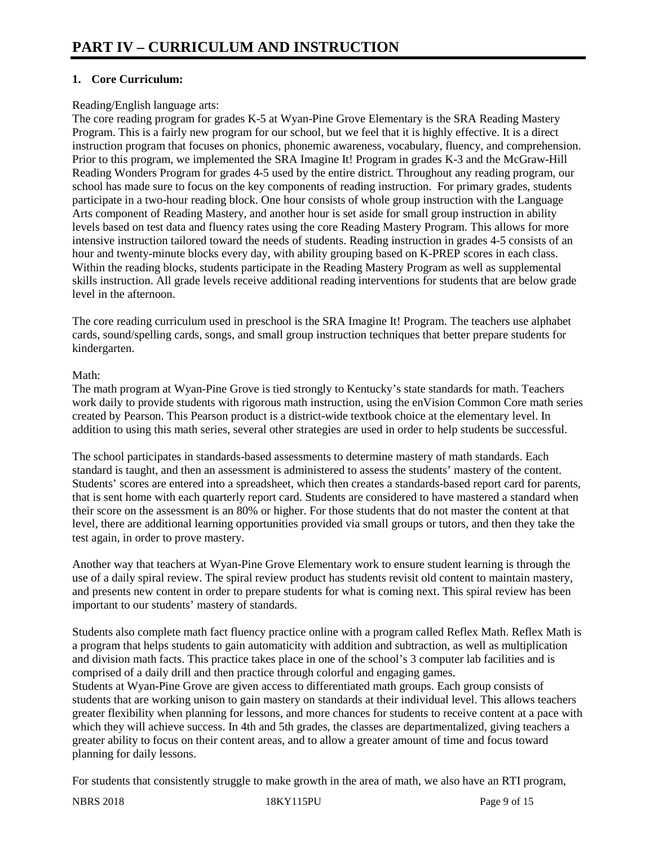# **1. Core Curriculum:**

## Reading/English language arts:

The core reading program for grades K-5 at Wyan-Pine Grove Elementary is the SRA Reading Mastery Program. This is a fairly new program for our school, but we feel that it is highly effective. It is a direct instruction program that focuses on phonics, phonemic awareness, vocabulary, fluency, and comprehension. Prior to this program, we implemented the SRA Imagine It! Program in grades K-3 and the McGraw-Hill Reading Wonders Program for grades 4-5 used by the entire district. Throughout any reading program, our school has made sure to focus on the key components of reading instruction. For primary grades, students participate in a two-hour reading block. One hour consists of whole group instruction with the Language Arts component of Reading Mastery, and another hour is set aside for small group instruction in ability levels based on test data and fluency rates using the core Reading Mastery Program. This allows for more intensive instruction tailored toward the needs of students. Reading instruction in grades 4-5 consists of an hour and twenty-minute blocks every day, with ability grouping based on K-PREP scores in each class. Within the reading blocks, students participate in the Reading Mastery Program as well as supplemental skills instruction. All grade levels receive additional reading interventions for students that are below grade level in the afternoon.

The core reading curriculum used in preschool is the SRA Imagine It! Program. The teachers use alphabet cards, sound/spelling cards, songs, and small group instruction techniques that better prepare students for kindergarten.

## Math:

The math program at Wyan-Pine Grove is tied strongly to Kentucky's state standards for math. Teachers work daily to provide students with rigorous math instruction, using the enVision Common Core math series created by Pearson. This Pearson product is a district-wide textbook choice at the elementary level. In addition to using this math series, several other strategies are used in order to help students be successful.

The school participates in standards-based assessments to determine mastery of math standards. Each standard is taught, and then an assessment is administered to assess the students' mastery of the content. Students' scores are entered into a spreadsheet, which then creates a standards-based report card for parents, that is sent home with each quarterly report card. Students are considered to have mastered a standard when their score on the assessment is an 80% or higher. For those students that do not master the content at that level, there are additional learning opportunities provided via small groups or tutors, and then they take the test again, in order to prove mastery.

Another way that teachers at Wyan-Pine Grove Elementary work to ensure student learning is through the use of a daily spiral review. The spiral review product has students revisit old content to maintain mastery, and presents new content in order to prepare students for what is coming next. This spiral review has been important to our students' mastery of standards.

Students also complete math fact fluency practice online with a program called Reflex Math. Reflex Math is a program that helps students to gain automaticity with addition and subtraction, as well as multiplication and division math facts. This practice takes place in one of the school's 3 computer lab facilities and is comprised of a daily drill and then practice through colorful and engaging games. Students at Wyan-Pine Grove are given access to differentiated math groups. Each group consists of

students that are working unison to gain mastery on standards at their individual level. This allows teachers greater flexibility when planning for lessons, and more chances for students to receive content at a pace with which they will achieve success. In 4th and 5th grades, the classes are departmentalized, giving teachers a greater ability to focus on their content areas, and to allow a greater amount of time and focus toward planning for daily lessons.

For students that consistently struggle to make growth in the area of math, we also have an RTI program,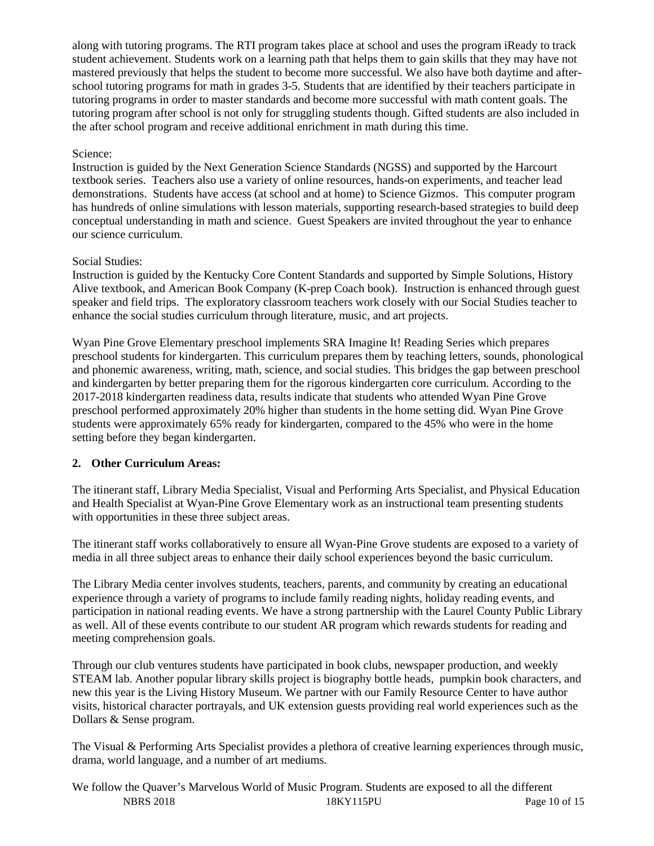along with tutoring programs. The RTI program takes place at school and uses the program iReady to track student achievement. Students work on a learning path that helps them to gain skills that they may have not mastered previously that helps the student to become more successful. We also have both daytime and afterschool tutoring programs for math in grades 3-5. Students that are identified by their teachers participate in tutoring programs in order to master standards and become more successful with math content goals. The tutoring program after school is not only for struggling students though. Gifted students are also included in the after school program and receive additional enrichment in math during this time.

# Science:

Instruction is guided by the Next Generation Science Standards (NGSS) and supported by the Harcourt textbook series. Teachers also use a variety of online resources, hands-on experiments, and teacher lead demonstrations. Students have access (at school and at home) to Science Gizmos. This computer program has hundreds of online simulations with lesson materials, supporting research-based strategies to build deep conceptual understanding in math and science. Guest Speakers are invited throughout the year to enhance our science curriculum.

## Social Studies:

Instruction is guided by the Kentucky Core Content Standards and supported by Simple Solutions, History Alive textbook, and American Book Company (K-prep Coach book). Instruction is enhanced through guest speaker and field trips. The exploratory classroom teachers work closely with our Social Studies teacher to enhance the social studies curriculum through literature, music, and art projects.

Wyan Pine Grove Elementary preschool implements SRA Imagine It! Reading Series which prepares preschool students for kindergarten. This curriculum prepares them by teaching letters, sounds, phonological and phonemic awareness, writing, math, science, and social studies. This bridges the gap between preschool and kindergarten by better preparing them for the rigorous kindergarten core curriculum. According to the 2017-2018 kindergarten readiness data, results indicate that students who attended Wyan Pine Grove preschool performed approximately 20% higher than students in the home setting did. Wyan Pine Grove students were approximately 65% ready for kindergarten, compared to the 45% who were in the home setting before they began kindergarten.

# **2. Other Curriculum Areas:**

The itinerant staff, Library Media Specialist, Visual and Performing Arts Specialist, and Physical Education and Health Specialist at Wyan-Pine Grove Elementary work as an instructional team presenting students with opportunities in these three subject areas.

The itinerant staff works collaboratively to ensure all Wyan-Pine Grove students are exposed to a variety of media in all three subject areas to enhance their daily school experiences beyond the basic curriculum.

The Library Media center involves students, teachers, parents, and community by creating an educational experience through a variety of programs to include family reading nights, holiday reading events, and participation in national reading events. We have a strong partnership with the Laurel County Public Library as well. All of these events contribute to our student AR program which rewards students for reading and meeting comprehension goals.

Through our club ventures students have participated in book clubs, newspaper production, and weekly STEAM lab. Another popular library skills project is biography bottle heads, pumpkin book characters, and new this year is the Living History Museum. We partner with our Family Resource Center to have author visits, historical character portrayals, and UK extension guests providing real world experiences such as the Dollars & Sense program.

The Visual & Performing Arts Specialist provides a plethora of creative learning experiences through music, drama, world language, and a number of art mediums.

NBRS 2018 18KY115PU Page 10 of 15 We follow the Quaver's Marvelous World of Music Program. Students are exposed to all the different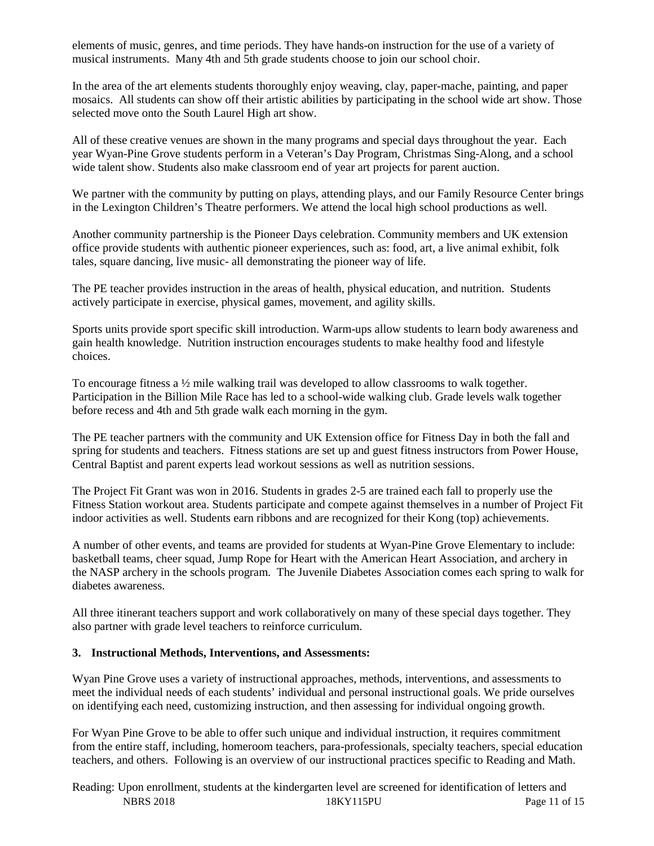elements of music, genres, and time periods. They have hands-on instruction for the use of a variety of musical instruments. Many 4th and 5th grade students choose to join our school choir.

In the area of the art elements students thoroughly enjoy weaving, clay, paper-mache, painting, and paper mosaics. All students can show off their artistic abilities by participating in the school wide art show. Those selected move onto the South Laurel High art show.

All of these creative venues are shown in the many programs and special days throughout the year. Each year Wyan-Pine Grove students perform in a Veteran's Day Program, Christmas Sing-Along, and a school wide talent show. Students also make classroom end of year art projects for parent auction.

We partner with the community by putting on plays, attending plays, and our Family Resource Center brings in the Lexington Children's Theatre performers. We attend the local high school productions as well.

Another community partnership is the Pioneer Days celebration. Community members and UK extension office provide students with authentic pioneer experiences, such as: food, art, a live animal exhibit, folk tales, square dancing, live music- all demonstrating the pioneer way of life.

The PE teacher provides instruction in the areas of health, physical education, and nutrition. Students actively participate in exercise, physical games, movement, and agility skills.

Sports units provide sport specific skill introduction. Warm-ups allow students to learn body awareness and gain health knowledge. Nutrition instruction encourages students to make healthy food and lifestyle choices.

To encourage fitness a ½ mile walking trail was developed to allow classrooms to walk together. Participation in the Billion Mile Race has led to a school-wide walking club. Grade levels walk together before recess and 4th and 5th grade walk each morning in the gym.

The PE teacher partners with the community and UK Extension office for Fitness Day in both the fall and spring for students and teachers. Fitness stations are set up and guest fitness instructors from Power House, Central Baptist and parent experts lead workout sessions as well as nutrition sessions.

The Project Fit Grant was won in 2016. Students in grades 2-5 are trained each fall to properly use the Fitness Station workout area. Students participate and compete against themselves in a number of Project Fit indoor activities as well. Students earn ribbons and are recognized for their Kong (top) achievements.

A number of other events, and teams are provided for students at Wyan-Pine Grove Elementary to include: basketball teams, cheer squad, Jump Rope for Heart with the American Heart Association, and archery in the NASP archery in the schools program. The Juvenile Diabetes Association comes each spring to walk for diabetes awareness.

All three itinerant teachers support and work collaboratively on many of these special days together. They also partner with grade level teachers to reinforce curriculum.

#### **3. Instructional Methods, Interventions, and Assessments:**

Wyan Pine Grove uses a variety of instructional approaches, methods, interventions, and assessments to meet the individual needs of each students' individual and personal instructional goals. We pride ourselves on identifying each need, customizing instruction, and then assessing for individual ongoing growth.

For Wyan Pine Grove to be able to offer such unique and individual instruction, it requires commitment from the entire staff, including, homeroom teachers, para-professionals, specialty teachers, special education teachers, and others. Following is an overview of our instructional practices specific to Reading and Math.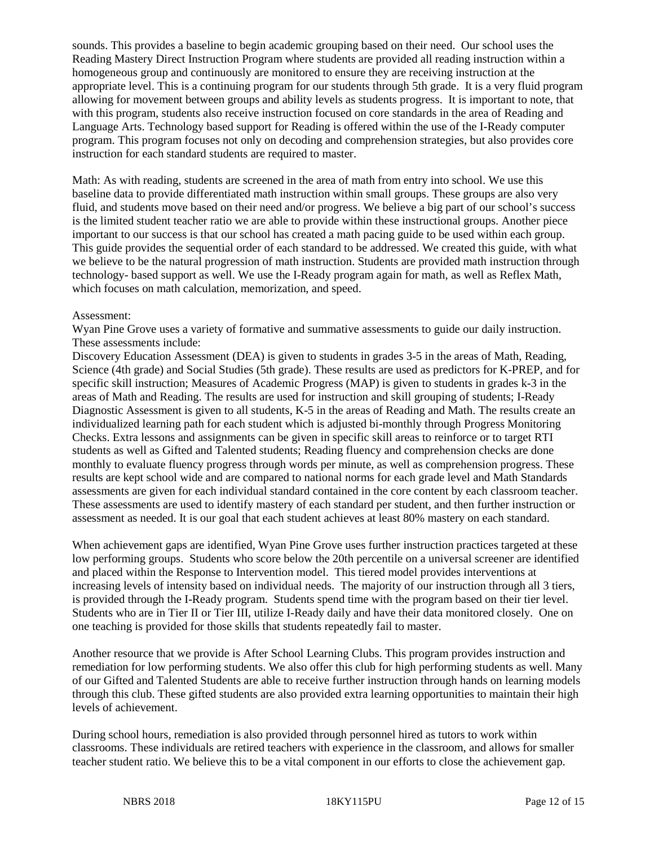sounds. This provides a baseline to begin academic grouping based on their need. Our school uses the Reading Mastery Direct Instruction Program where students are provided all reading instruction within a homogeneous group and continuously are monitored to ensure they are receiving instruction at the appropriate level. This is a continuing program for our students through 5th grade. It is a very fluid program allowing for movement between groups and ability levels as students progress. It is important to note, that with this program, students also receive instruction focused on core standards in the area of Reading and Language Arts. Technology based support for Reading is offered within the use of the I-Ready computer program. This program focuses not only on decoding and comprehension strategies, but also provides core instruction for each standard students are required to master.

Math: As with reading, students are screened in the area of math from entry into school. We use this baseline data to provide differentiated math instruction within small groups. These groups are also very fluid, and students move based on their need and/or progress. We believe a big part of our school's success is the limited student teacher ratio we are able to provide within these instructional groups. Another piece important to our success is that our school has created a math pacing guide to be used within each group. This guide provides the sequential order of each standard to be addressed. We created this guide, with what we believe to be the natural progression of math instruction. Students are provided math instruction through technology- based support as well. We use the I-Ready program again for math, as well as Reflex Math, which focuses on math calculation, memorization, and speed.

#### Assessment:

Wyan Pine Grove uses a variety of formative and summative assessments to guide our daily instruction. These assessments include:

Discovery Education Assessment (DEA) is given to students in grades 3-5 in the areas of Math, Reading, Science (4th grade) and Social Studies (5th grade). These results are used as predictors for K-PREP, and for specific skill instruction; Measures of Academic Progress (MAP) is given to students in grades k-3 in the areas of Math and Reading. The results are used for instruction and skill grouping of students; I-Ready Diagnostic Assessment is given to all students, K-5 in the areas of Reading and Math. The results create an individualized learning path for each student which is adjusted bi-monthly through Progress Monitoring Checks. Extra lessons and assignments can be given in specific skill areas to reinforce or to target RTI students as well as Gifted and Talented students; Reading fluency and comprehension checks are done monthly to evaluate fluency progress through words per minute, as well as comprehension progress. These results are kept school wide and are compared to national norms for each grade level and Math Standards assessments are given for each individual standard contained in the core content by each classroom teacher. These assessments are used to identify mastery of each standard per student, and then further instruction or assessment as needed. It is our goal that each student achieves at least 80% mastery on each standard.

When achievement gaps are identified, Wyan Pine Grove uses further instruction practices targeted at these low performing groups. Students who score below the 20th percentile on a universal screener are identified and placed within the Response to Intervention model. This tiered model provides interventions at increasing levels of intensity based on individual needs. The majority of our instruction through all 3 tiers, is provided through the I-Ready program. Students spend time with the program based on their tier level. Students who are in Tier II or Tier III, utilize I-Ready daily and have their data monitored closely. One on one teaching is provided for those skills that students repeatedly fail to master.

Another resource that we provide is After School Learning Clubs. This program provides instruction and remediation for low performing students. We also offer this club for high performing students as well. Many of our Gifted and Talented Students are able to receive further instruction through hands on learning models through this club. These gifted students are also provided extra learning opportunities to maintain their high levels of achievement.

During school hours, remediation is also provided through personnel hired as tutors to work within classrooms. These individuals are retired teachers with experience in the classroom, and allows for smaller teacher student ratio. We believe this to be a vital component in our efforts to close the achievement gap.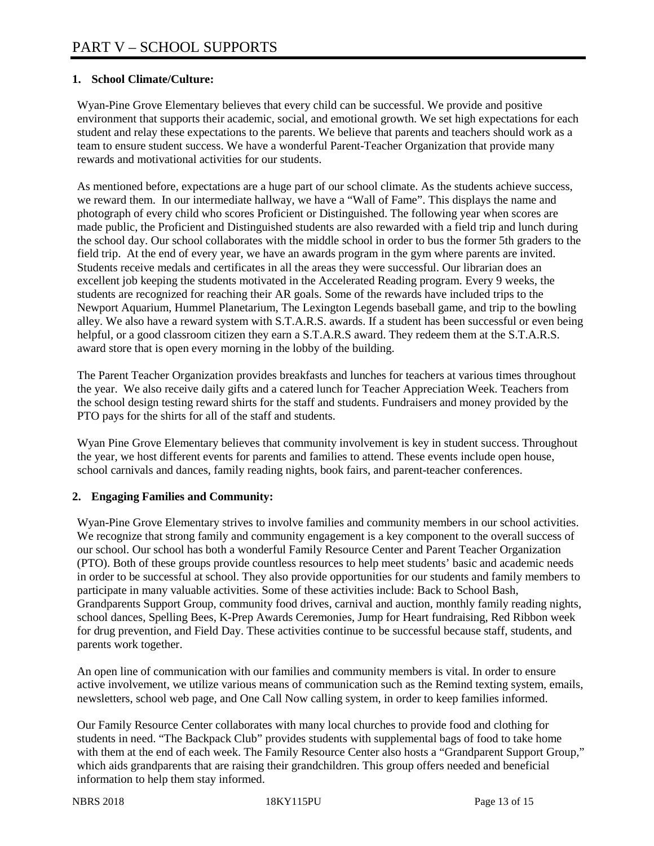## **1. School Climate/Culture:**

Wyan-Pine Grove Elementary believes that every child can be successful. We provide and positive environment that supports their academic, social, and emotional growth. We set high expectations for each student and relay these expectations to the parents. We believe that parents and teachers should work as a team to ensure student success. We have a wonderful Parent-Teacher Organization that provide many rewards and motivational activities for our students.

As mentioned before, expectations are a huge part of our school climate. As the students achieve success, we reward them. In our intermediate hallway, we have a "Wall of Fame". This displays the name and photograph of every child who scores Proficient or Distinguished. The following year when scores are made public, the Proficient and Distinguished students are also rewarded with a field trip and lunch during the school day. Our school collaborates with the middle school in order to bus the former 5th graders to the field trip. At the end of every year, we have an awards program in the gym where parents are invited. Students receive medals and certificates in all the areas they were successful. Our librarian does an excellent job keeping the students motivated in the Accelerated Reading program. Every 9 weeks, the students are recognized for reaching their AR goals. Some of the rewards have included trips to the Newport Aquarium, Hummel Planetarium, The Lexington Legends baseball game, and trip to the bowling alley. We also have a reward system with S.T.A.R.S. awards. If a student has been successful or even being helpful, or a good classroom citizen they earn a S.T.A.R.S award. They redeem them at the S.T.A.R.S. award store that is open every morning in the lobby of the building.

The Parent Teacher Organization provides breakfasts and lunches for teachers at various times throughout the year. We also receive daily gifts and a catered lunch for Teacher Appreciation Week. Teachers from the school design testing reward shirts for the staff and students. Fundraisers and money provided by the PTO pays for the shirts for all of the staff and students.

Wyan Pine Grove Elementary believes that community involvement is key in student success. Throughout the year, we host different events for parents and families to attend. These events include open house, school carnivals and dances, family reading nights, book fairs, and parent-teacher conferences.

#### **2. Engaging Families and Community:**

Wyan-Pine Grove Elementary strives to involve families and community members in our school activities. We recognize that strong family and community engagement is a key component to the overall success of our school. Our school has both a wonderful Family Resource Center and Parent Teacher Organization (PTO). Both of these groups provide countless resources to help meet students' basic and academic needs in order to be successful at school. They also provide opportunities for our students and family members to participate in many valuable activities. Some of these activities include: Back to School Bash, Grandparents Support Group, community food drives, carnival and auction, monthly family reading nights, school dances, Spelling Bees, K-Prep Awards Ceremonies, Jump for Heart fundraising, Red Ribbon week for drug prevention, and Field Day. These activities continue to be successful because staff, students, and parents work together.

An open line of communication with our families and community members is vital. In order to ensure active involvement, we utilize various means of communication such as the Remind texting system, emails, newsletters, school web page, and One Call Now calling system, in order to keep families informed.

Our Family Resource Center collaborates with many local churches to provide food and clothing for students in need. "The Backpack Club" provides students with supplemental bags of food to take home with them at the end of each week. The Family Resource Center also hosts a "Grandparent Support Group," which aids grandparents that are raising their grandchildren. This group offers needed and beneficial information to help them stay informed.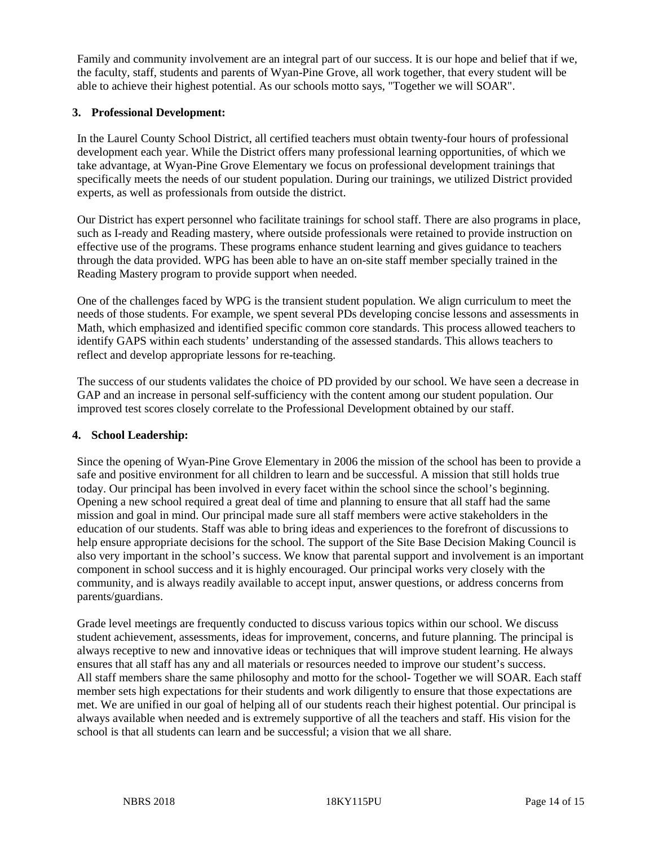Family and community involvement are an integral part of our success. It is our hope and belief that if we, the faculty, staff, students and parents of Wyan-Pine Grove, all work together, that every student will be able to achieve their highest potential. As our schools motto says, "Together we will SOAR".

## **3. Professional Development:**

In the Laurel County School District, all certified teachers must obtain twenty-four hours of professional development each year. While the District offers many professional learning opportunities, of which we take advantage, at Wyan-Pine Grove Elementary we focus on professional development trainings that specifically meets the needs of our student population. During our trainings, we utilized District provided experts, as well as professionals from outside the district.

Our District has expert personnel who facilitate trainings for school staff. There are also programs in place, such as I-ready and Reading mastery, where outside professionals were retained to provide instruction on effective use of the programs. These programs enhance student learning and gives guidance to teachers through the data provided. WPG has been able to have an on-site staff member specially trained in the Reading Mastery program to provide support when needed.

One of the challenges faced by WPG is the transient student population. We align curriculum to meet the needs of those students. For example, we spent several PDs developing concise lessons and assessments in Math, which emphasized and identified specific common core standards. This process allowed teachers to identify GAPS within each students' understanding of the assessed standards. This allows teachers to reflect and develop appropriate lessons for re-teaching.

The success of our students validates the choice of PD provided by our school. We have seen a decrease in GAP and an increase in personal self-sufficiency with the content among our student population. Our improved test scores closely correlate to the Professional Development obtained by our staff.

#### **4. School Leadership:**

Since the opening of Wyan-Pine Grove Elementary in 2006 the mission of the school has been to provide a safe and positive environment for all children to learn and be successful. A mission that still holds true today. Our principal has been involved in every facet within the school since the school's beginning. Opening a new school required a great deal of time and planning to ensure that all staff had the same mission and goal in mind. Our principal made sure all staff members were active stakeholders in the education of our students. Staff was able to bring ideas and experiences to the forefront of discussions to help ensure appropriate decisions for the school. The support of the Site Base Decision Making Council is also very important in the school's success. We know that parental support and involvement is an important component in school success and it is highly encouraged. Our principal works very closely with the community, and is always readily available to accept input, answer questions, or address concerns from parents/guardians.

Grade level meetings are frequently conducted to discuss various topics within our school. We discuss student achievement, assessments, ideas for improvement, concerns, and future planning. The principal is always receptive to new and innovative ideas or techniques that will improve student learning. He always ensures that all staff has any and all materials or resources needed to improve our student's success. All staff members share the same philosophy and motto for the school- Together we will SOAR. Each staff member sets high expectations for their students and work diligently to ensure that those expectations are met. We are unified in our goal of helping all of our students reach their highest potential. Our principal is always available when needed and is extremely supportive of all the teachers and staff. His vision for the school is that all students can learn and be successful; a vision that we all share.